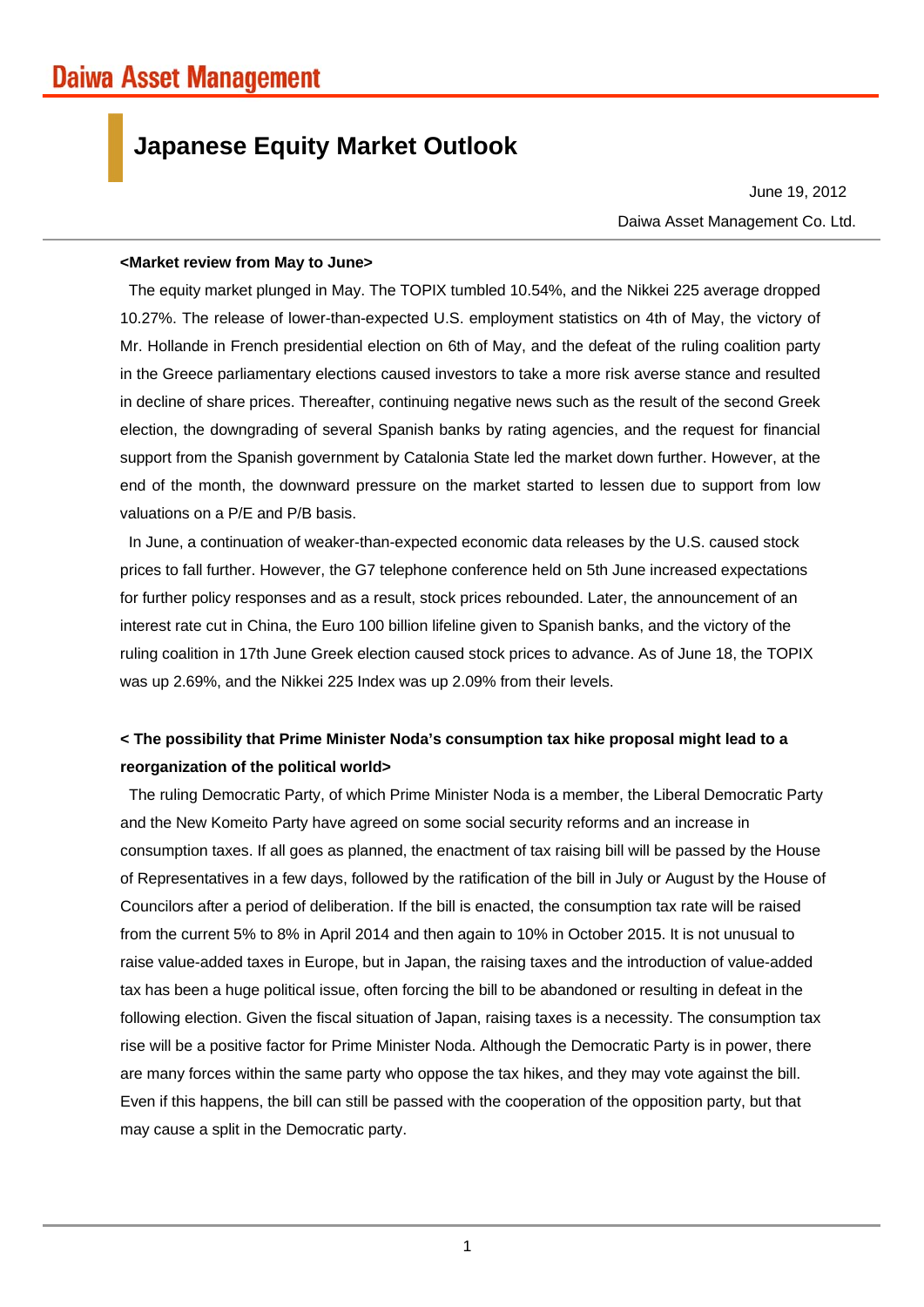# **Japanese Equity Market Outlook**

Daiwa Asset Management Co. Ltd. June 19, 2012

### **<Market review from May to June>**

The equity market plunged in May. The TOPIX tumbled 10.54%, and the Nikkei 225 average dropped 10.27%. The release of lower-than-expected U.S. employment statistics on 4th of May, the victory of Mr. Hollande in French presidential election on 6th of May, and the defeat of the ruling coalition party in the Greece parliamentary elections caused investors to take a more risk averse stance and resulted in decline of share prices. Thereafter, continuing negative news such as the result of the second Greek election, the downgrading of several Spanish banks by rating agencies, and the request for financial support from the Spanish government by Catalonia State led the market down further. However, at the end of the month, the downward pressure on the market started to lessen due to support from low valuations on a P/E and P/B basis.

In June, a continuation of weaker-than-expected economic data releases by the U.S. caused stock prices to fall further. However, the G7 telephone conference held on 5th June increased expectations for further policy responses and as a result, stock prices rebounded. Later, the announcement of an interest rate cut in China, the Euro 100 billion lifeline given to Spanish banks, and the victory of the ruling coalition in 17th June Greek election caused stock prices to advance. As of June 18, the TOPIX was up 2.69%, and the Nikkei 225 Index was up 2.09% from their levels.

## **< The possibility that Prime Minister Noda's consumption tax hike proposal might lead to a reorganization of the political world>**

The ruling Democratic Party, of which Prime Minister Noda is a member, the Liberal Democratic Party and the New Komeito Party have agreed on some social security reforms and an increase in consumption taxes. If all goes as planned, the enactment of tax raising bill will be passed by the House of Representatives in a few days, followed by the ratification of the bill in July or August by the House of Councilors after a period of deliberation. If the bill is enacted, the consumption tax rate will be raised from the current 5% to 8% in April 2014 and then again to 10% in October 2015. It is not unusual to raise value-added taxes in Europe, but in Japan, the raising taxes and the introduction of value-added tax has been a huge political issue, often forcing the bill to be abandoned or resulting in defeat in the following election. Given the fiscal situation of Japan, raising taxes is a necessity. The consumption tax rise will be a positive factor for Prime Minister Noda. Although the Democratic Party is in power, there are many forces within the same party who oppose the tax hikes, and they may vote against the bill. Even if this happens, the bill can still be passed with the cooperation of the opposition party, but that may cause a split in the Democratic party.